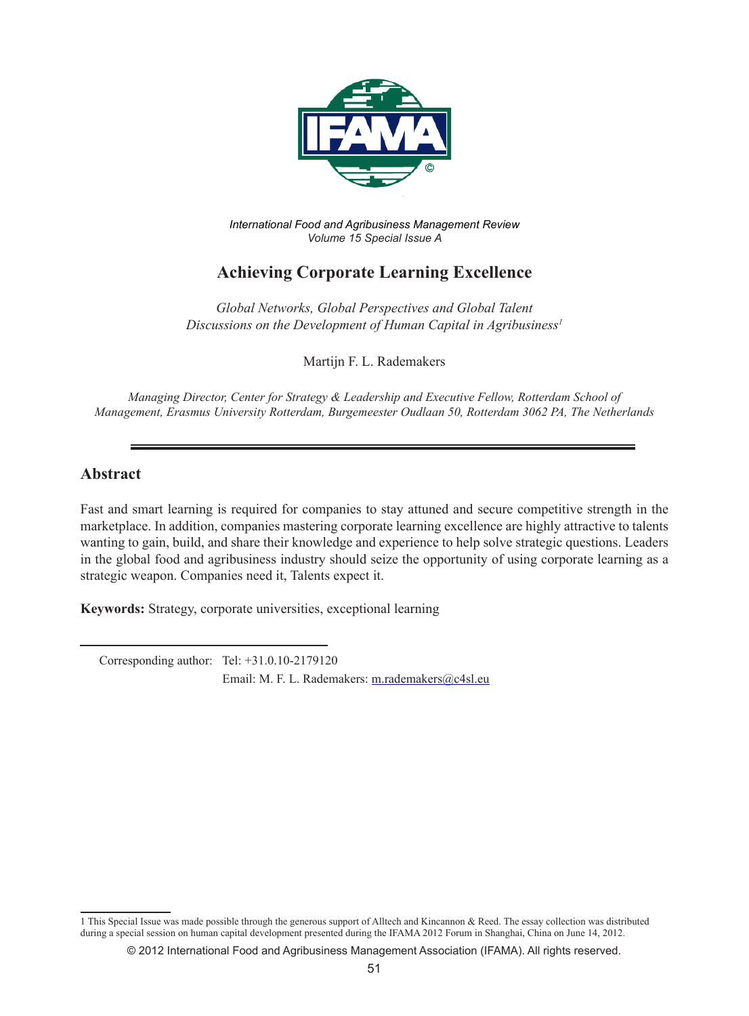

*International Food and Agribusiness Management Review Volume 15 Special Issue A*

# **Achieving Corporate Learning Excellence**

*Global Networks, Global Perspectives and Global Talent Discussions on the Development of Human Capital in Agribusiness1*

Martijn F. L. Rademakers

*Managing Director, Center for Strategy & Leadership and Executive Fellow, Rotterdam School of Management, Erasmus University Rotterdam, Burgemeester Oudlaan 50, Rotterdam 3062 PA, The Netherlands*

### **Abstract**

Fast and smart learning is required for companies to stay attuned and secure competitive strength in the marketplace. In addition, companies mastering corporate learning excellence are highly attractive to talents wanting to gain, build, and share their knowledge and experience to help solve strategic questions. Leaders in the global food and agribusiness industry should seize the opportunity of using corporate learning as a strategic weapon. Companies need it, Talents expect it.

**Keywords:** Strategy, corporate universities, exceptional learning

 Corresponding author: Tel: +31.0.10-2179120 Email: M. F. L. Rademakers: m.rademakers@c4sl.eu

<sup>1</sup> This Special Issue was made possible through the generous support of Alltech and Kincannon & Reed. The essay collection was distributed during a special session on human capital development presented during the IFAMA 2012 Forum in Shanghai, China on June 14, 2012.

<sup>© 2012</sup> International Food and Agribusiness Management Association (IFAMA). All rights reserved.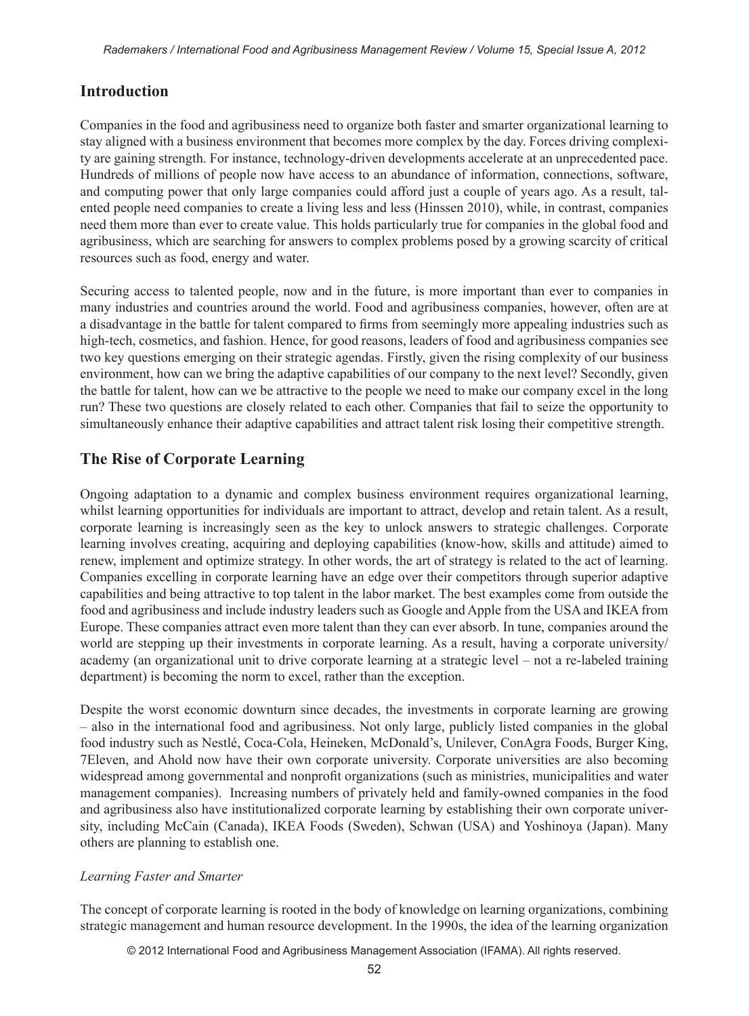## **Introduction**

Companies in the food and agribusiness need to organize both faster and smarter organizational learning to stay aligned with a business environment that becomes more complex by the day. Forces driving complexity are gaining strength. For instance, technology-driven developments accelerate at an unprecedented pace. Hundreds of millions of people now have access to an abundance of information, connections, software, and computing power that only large companies could afford just a couple of years ago. As a result, talented people need companies to create a living less and less (Hinssen 2010), while, in contrast, companies need them more than ever to create value. This holds particularly true for companies in the global food and agribusiness, which are searching for answers to complex problems posed by a growing scarcity of critical resources such as food, energy and water.

Securing access to talented people, now and in the future, is more important than ever to companies in many industries and countries around the world. Food and agribusiness companies, however, often are at a disadvantage in the battle for talent compared to firms from seemingly more appealing industries such as high-tech, cosmetics, and fashion. Hence, for good reasons, leaders of food and agribusiness companies see two key questions emerging on their strategic agendas. Firstly, given the rising complexity of our business environment, how can we bring the adaptive capabilities of our company to the next level? Secondly, given the battle for talent, how can we be attractive to the people we need to make our company excel in the long run? These two questions are closely related to each other. Companies that fail to seize the opportunity to simultaneously enhance their adaptive capabilities and attract talent risk losing their competitive strength.

## **The Rise of Corporate Learning**

Ongoing adaptation to a dynamic and complex business environment requires organizational learning, whilst learning opportunities for individuals are important to attract, develop and retain talent. As a result, corporate learning is increasingly seen as the key to unlock answers to strategic challenges. Corporate learning involves creating, acquiring and deploying capabilities (know-how, skills and attitude) aimed to renew, implement and optimize strategy. In other words, the art of strategy is related to the act of learning. Companies excelling in corporate learning have an edge over their competitors through superior adaptive capabilities and being attractive to top talent in the labor market. The best examples come from outside the food and agribusiness and include industry leaders such as Google and Apple from the USA and IKEA from Europe. These companies attract even more talent than they can ever absorb. In tune, companies around the world are stepping up their investments in corporate learning. As a result, having a corporate university/ academy (an organizational unit to drive corporate learning at a strategic level – not a re-labeled training department) is becoming the norm to excel, rather than the exception.

Despite the worst economic downturn since decades, the investments in corporate learning are growing – also in the international food and agribusiness. Not only large, publicly listed companies in the global food industry such as Nestlé, Coca-Cola, Heineken, McDonald's, Unilever, ConAgra Foods, Burger King, 7Eleven, and Ahold now have their own corporate university. Corporate universities are also becoming widespread among governmental and nonprofit organizations (such as ministries, municipalities and water management companies). Increasing numbers of privately held and family-owned companies in the food and agribusiness also have institutionalized corporate learning by establishing their own corporate university, including McCain (Canada), IKEA Foods (Sweden), Schwan (USA) and Yoshinoya (Japan). Many others are planning to establish one.

#### *Learning Faster and Smarter*

The concept of corporate learning is rooted in the body of knowledge on learning organizations, combining strategic management and human resource development. In the 1990s, the idea of the learning organization

© 2012 International Food and Agribusiness Management Association (IFAMA). All rights reserved.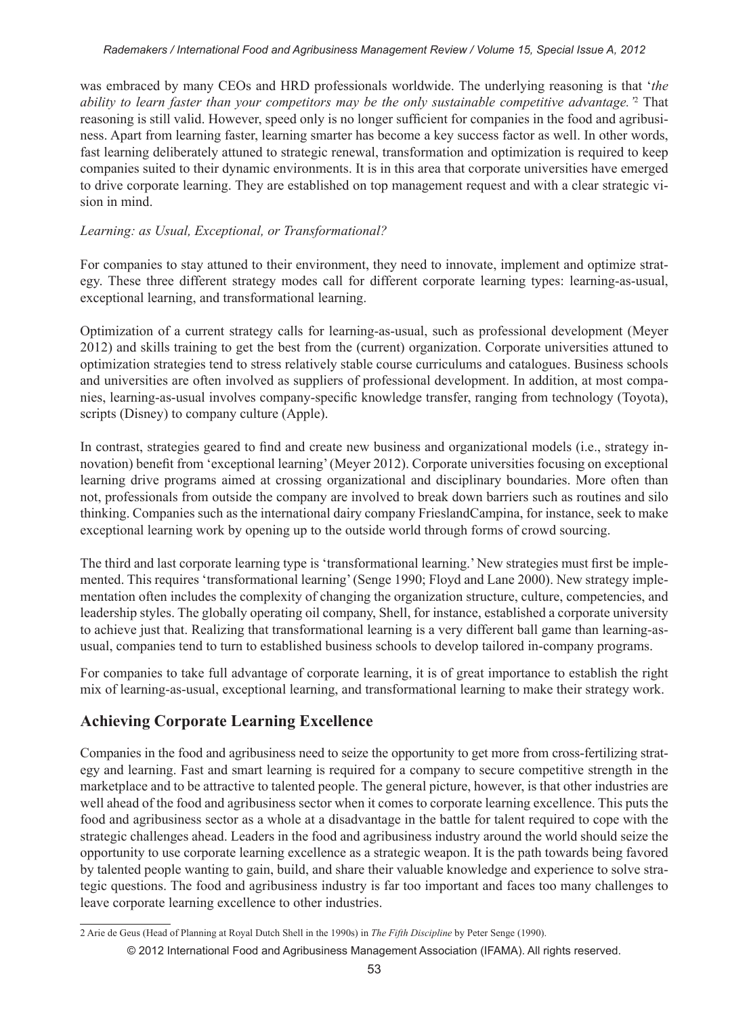was embraced by many CEOs and HRD professionals worldwide. The underlying reasoning is that '*the ability to learn faster than your competitors may be the only sustainable competitive advantage.'*<sup>2</sup> That reasoning is still valid. However, speed only is no longer sufficient for companies in the food and agribusiness. Apart from learning faster, learning smarter has become a key success factor as well. In other words, fast learning deliberately attuned to strategic renewal, transformation and optimization is required to keep companies suited to their dynamic environments. It is in this area that corporate universities have emerged to drive corporate learning. They are established on top management request and with a clear strategic vision in mind.

#### *Learning: as Usual, Exceptional, or Transformational?*

For companies to stay attuned to their environment, they need to innovate, implement and optimize strategy. These three different strategy modes call for different corporate learning types: learning-as-usual, exceptional learning, and transformational learning.

Optimization of a current strategy calls for learning-as-usual, such as professional development (Meyer 2012) and skills training to get the best from the (current) organization. Corporate universities attuned to optimization strategies tend to stress relatively stable course curriculums and catalogues. Business schools and universities are often involved as suppliers of professional development. In addition, at most companies, learning-as-usual involves company-specific knowledge transfer, ranging from technology (Toyota), scripts (Disney) to company culture (Apple).

In contrast, strategies geared to find and create new business and organizational models (i.e., strategy innovation) benefit from 'exceptional learning' (Meyer 2012). Corporate universities focusing on exceptional learning drive programs aimed at crossing organizational and disciplinary boundaries. More often than not, professionals from outside the company are involved to break down barriers such as routines and silo thinking. Companies such as the international dairy company FrieslandCampina, for instance, seek to make exceptional learning work by opening up to the outside world through forms of crowd sourcing.

The third and last corporate learning type is 'transformational learning.' New strategies must first be implemented. This requires 'transformational learning' (Senge 1990; Floyd and Lane 2000). New strategy implementation often includes the complexity of changing the organization structure, culture, competencies, and leadership styles. The globally operating oil company, Shell, for instance, established a corporate university to achieve just that. Realizing that transformational learning is a very different ball game than learning-asusual, companies tend to turn to established business schools to develop tailored in-company programs.

For companies to take full advantage of corporate learning, it is of great importance to establish the right mix of learning-as-usual, exceptional learning, and transformational learning to make their strategy work.

# **Achieving Corporate Learning Excellence**

Companies in the food and agribusiness need to seize the opportunity to get more from cross-fertilizing strategy and learning. Fast and smart learning is required for a company to secure competitive strength in the marketplace and to be attractive to talented people. The general picture, however, is that other industries are well ahead of the food and agribusiness sector when it comes to corporate learning excellence. This puts the food and agribusiness sector as a whole at a disadvantage in the battle for talent required to cope with the strategic challenges ahead. Leaders in the food and agribusiness industry around the world should seize the opportunity to use corporate learning excellence as a strategic weapon. It is the path towards being favored by talented people wanting to gain, build, and share their valuable knowledge and experience to solve strategic questions. The food and agribusiness industry is far too important and faces too many challenges to leave corporate learning excellence to other industries.

<sup>2</sup> Arie de Geus (Head of Planning at Royal Dutch Shell in the 1990s) in *The Fifth Discipline* by Peter Senge (1990).

<sup>© 2012</sup> International Food and Agribusiness Management Association (IFAMA). All rights reserved.